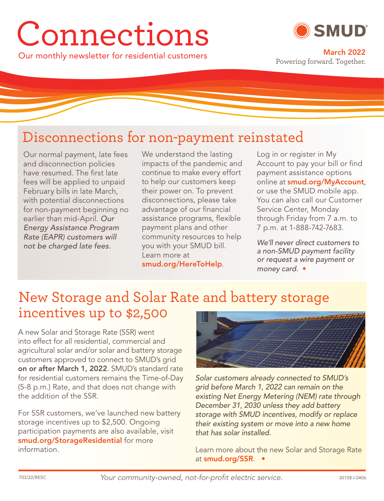# Connections



Our monthly newsletter for residential customers **March 2022** Powering forward. Together.

# Disconnections for non-payment reinstated

Our normal payment, late fees and disconnection policies have resumed. The first late fees will be applied to unpaid February bills in late March, with potential disconnections for non-payment beginning no earlier than mid-April. Our Energy Assistance Program Rate (EAPR) customers will not be charged late fees.

We understand the lasting impacts of the pandemic and continue to make every effort to help our customers keep their power on. To prevent disconnections, please take advantage of our financial assistance programs, flexible payment plans and other community resources to help you with your SMUD bill. Learn more at **smud.org/HereToHelp**.

Log in or register in My Account to pay your bill or find payment assistance options online at **smud.org/MyAccount**, or use the SMUD mobile app. You can also call our Customer Service Center, Monday through Friday from 7 a.m. to 7 p.m. at 1-888-742-7683.

We'll never direct customers to a non-SMUD payment facility or request a wire payment or money card. •

## New Storage and Solar Rate and battery storage incentives up to \$2,500

A new Solar and Storage Rate (SSR) went into effect for all residential, commercial and agricultural solar and/or solar and battery storage customers approved to connect to SMUD's grid **on or after March 1, 2022**. SMUD's standard rate for residential customers remains the Time-of-Day (5-8 p.m.) Rate, and that does not change with the addition of the SSR.

For SSR customers, we've launched new battery storage incentives up to \$2,500. Ongoing participation payments are also available, visit **smud.org/StorageResidential** for more information.



Solar customers already connected to SMUD's grid before March 1, 2022 can remain on the existing Net Energy Metering (NEM) rate through December 31, 2030 unless they add battery storage with SMUD incentives, modify or replace their existing system or move into a new home that has solar installed.

Learn more about the new Solar and Storage Rate at **smud.org/SSR**. •